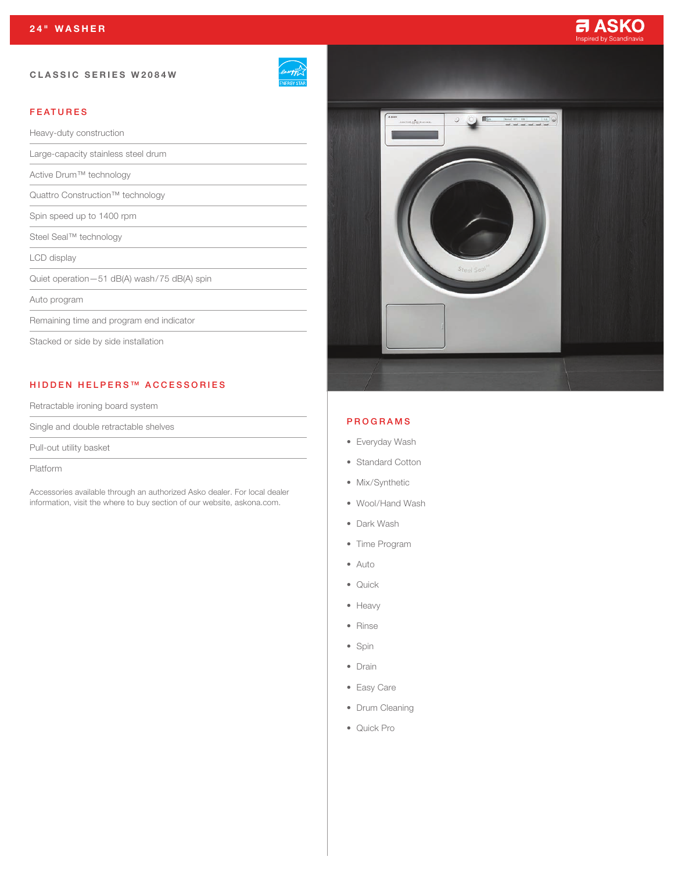# CLASSIC SERIES W2084W

| mei<br>หร  |
|------------|
| NERGY STAR |

# FEATURES

Heavy-duty construction

Large-capacity stainless steel drum

Active Drum™ technology

Quattro Construction™ technology

Spin speed up to 1400 rpm

Steel Seal™ technology

LCD display

Quiet operation—51 dB(A) wash/75 dB(A) spin

Auto program

Remaining time and program end indicator

Stacked or side by side installation

# HIDDEN HELPERS™ ACCESSORIES

Retractable ironing board system

Single and double retractable shelves

Pull-out utility basket

Platform

Accessories available through an authorized Asko dealer. For local dealer information, visit the where to buy section of our website, askona.com.



**a ASKO** 

### PROGRAMS

- Everyday Wash
- Standard Cotton
- Mix/Synthetic
- Wool/Hand Wash
- Dark Wash
- Time Program
- Auto
- Quick
- Heavy
- Rinse
- Spin
- Drain
- Easy Care
- Drum Cleaning
- Quick Pro